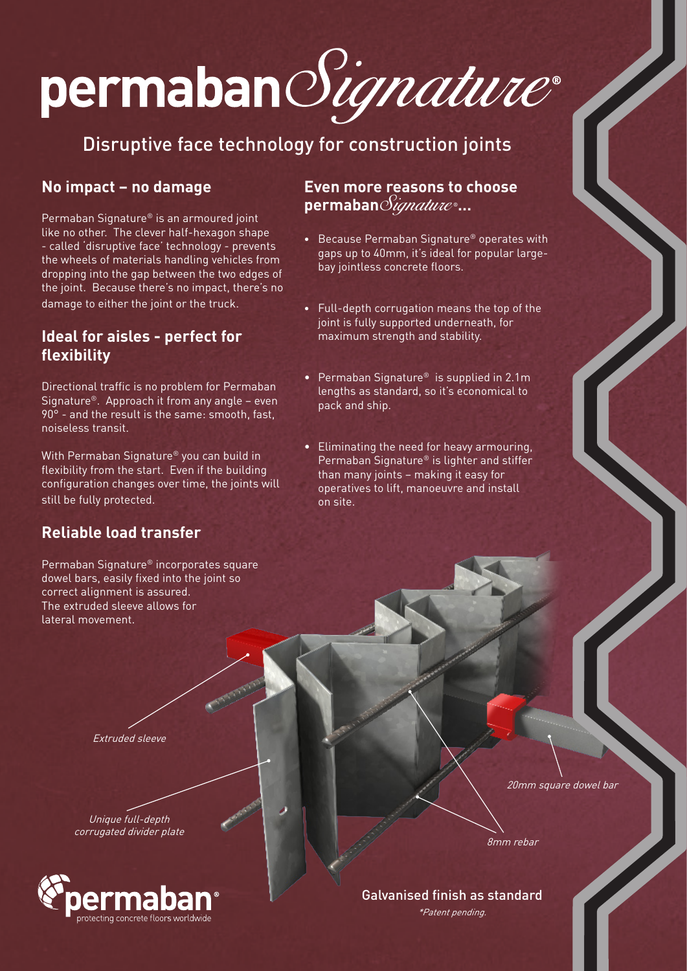# permabanSignature®

# Disruptive face technology for construction joints

## **No impact – no damage**

Permaban Signature® is an armoured joint like no other. The clever half-hexagon shape - called 'disruptive face' technology - prevents the wheels of materials handling vehicles from dropping into the gap between the two edges of the joint. Because there's no impact, there's no damage to either the joint or the truck.

### **Ideal for aisles - perfect for flexibility**

Directional traffic is no problem for Permaban Signature®. Approach it from any angle – even 90° - and the result is the same: smooth, fast, noiseless transit.

With Permaban Signature® you can build in flexibility from the start. Even if the building configuration changes over time, the joints will still be fully protected.

#### **Even more reasons to choose permaban**Signature ®**…**

- Because Permaban Signature® operates with gaps up to 40mm, it's ideal for popular largebay jointless concrete floors.
- Full-depth corrugation means the top of the joint is fully supported underneath, for maximum strength and stability.
- Permaban Signature® is supplied in 2.1m lengths as standard, so it's economical to pack and ship.
- Eliminating the need for heavy armouring, Permaban Signature® is lighter and stiffer than many joints – making it easy for operatives to lift, manoeuvre and install on site.

## **Reliable load transfer**

Permaban Signature® incorporates square dowel bars, easily fixed into the joint so correct alignment is assured. The extruded sleeve allows for lateral movement.

Extruded sleeve

Unique full-depth corrugated divider plate



20mm square dowel bar

8mm rebar

Galvanised finish as standard

\*Patent pending.